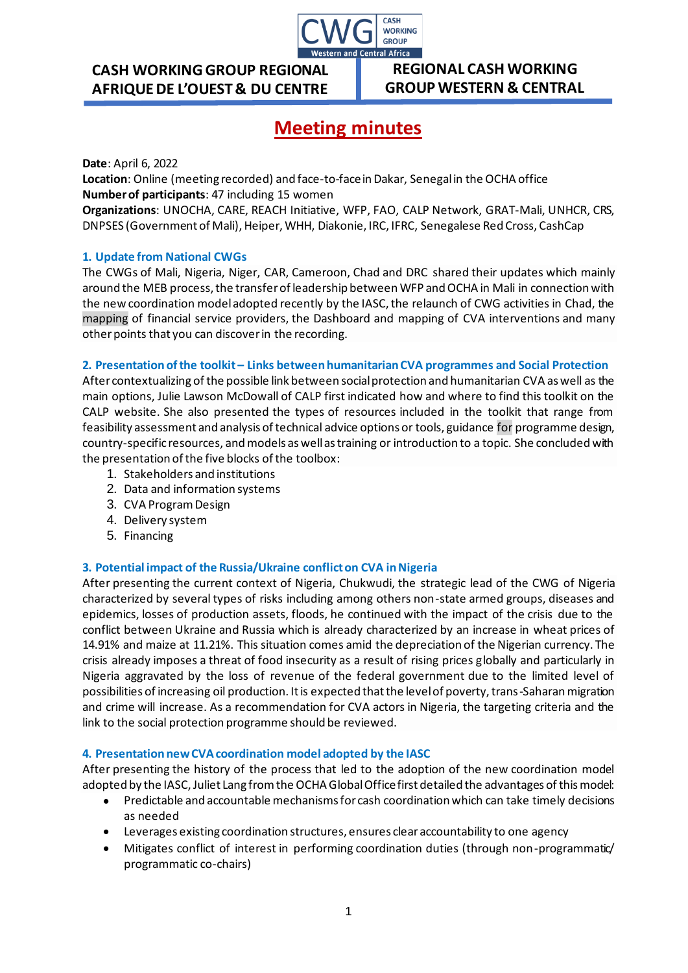

## **CASH WORKING GROUP REGIONAL AFRIQUE DE L'OUEST & DU CENTRE**

### **REGIONAL CASH WORKING GROUP WESTERN & CENTRAL**

**AFRICA**

# **Meeting minutes**

**Date**: April 6, 2022

**Location**: Online (meeting recorded) and face-to-face in Dakar, Senegal in the OCHA office **Number of participants**: 47 including 15 women

**Organizations**: UNOCHA, CARE, REACH Initiative, WFP, FAO, CALP Network, GRAT-Mali, UNHCR, CRS, DNPSES (Government of Mali), Heiper, WHH, Diakonie, IRC, IFRC, Senegalese Red Cross, CashCap

#### **1. Update from National CWGs**

The CWGs of Mali, Nigeria, Niger, CAR, Cameroon, Chad and DRC shared their updates which mainly around the MEB process, the transfer of leadership between WFP and OCHA in Mali in connection with the new coordination model adopted recently by the IASC, the relaunch of CWG activities in Chad, the mapping of financial service providers, the Dashboard and mapping of CVA interventions and many other points that you can discover in the recording.

#### **2. Presentation of the toolkit – Links between humanitarian CVA programmes and Social Protection**

After contextualizing of the possible link between social protection and humanitarian CVA as well as the main options, Julie Lawson McDowall of CALP first indicated how and where to find this toolkit on the CALP website. She also presented the types of resources included in the toolkit that range from feasibility assessment and analysis of technical advice options or tools, guidance for programme design, country-specific resources, and models as well as training or introduction to a topic. She concluded with the presentation of the five blocks of the toolbox:

- 1. Stakeholders and institutions
- 2. Data and information systems
- 3. CVA Program Design
- 4. Delivery system
- 5. Financing

#### **3. Potential impact of the Russia/Ukraine conflict on CVA in Nigeria**

After presenting the current context of Nigeria, Chukwudi, the strategic lead of the CWG of Nigeria characterized by several types of risks including among others non-state armed groups, diseases and epidemics, losses of production assets, floods, he continued with the impact of the crisis due to the conflict between Ukraine and Russia which is already characterized by an increase in wheat prices of 14.91% and maize at 11.21%. This situation comes amid the depreciation of the Nigerian currency. The crisis already imposes a threat of food insecurity as a result of rising prices globally and particularly in Nigeria aggravated by the loss of revenue of the federal government due to the limited level of possibilities of increasing oil production. It is expected that the level of poverty, trans-Saharan migration and crime will increase. As a recommendation for CVA actors in Nigeria, the targeting criteria and the link to the social protection programme should be reviewed.

#### **4. Presentation new CVA coordination model adopted by the IASC**

After presenting the history of the process that led to the adoption of the new coordination model adopted by the IASC, Juliet Lang from the OCHA Global Office first detailed the advantages of this model:

- Predictable and accountable mechanisms for cash coordination which can take timely decisions as needed
- Leverages existing coordination structures, ensures clear accountability to one agency
- Mitigates conflict of interest in performing coordination duties (through non-programmatic/ programmatic co-chairs)